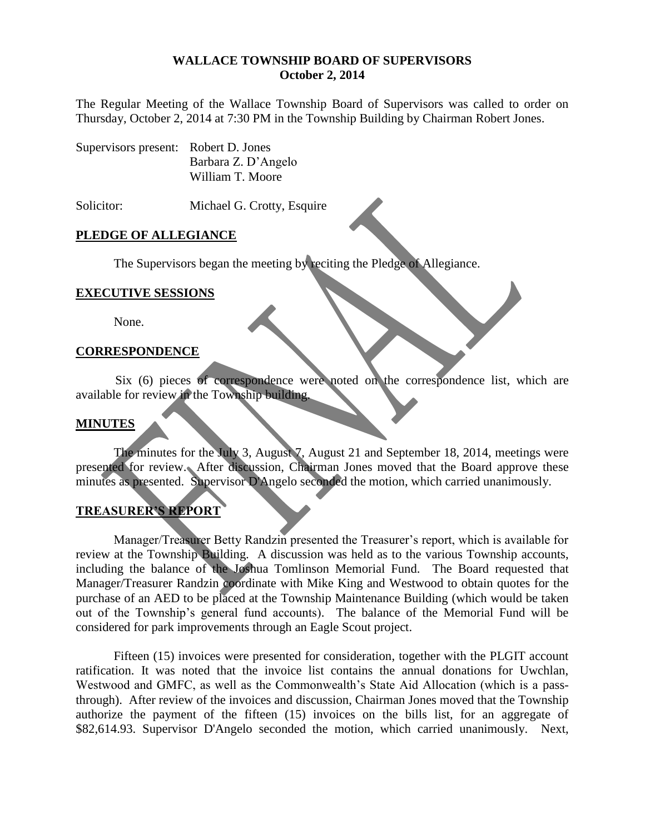#### **WALLACE TOWNSHIP BOARD OF SUPERVISORS October 2, 2014**

The Regular Meeting of the Wallace Township Board of Supervisors was called to order on Thursday, October 2, 2014 at 7:30 PM in the Township Building by Chairman Robert Jones.

| Supervisors present: Robert D. Jones |                     |
|--------------------------------------|---------------------|
|                                      | Barbara Z. D'Angelo |
|                                      | William T. Moore    |

Solicitor: Michael G. Crotty, Esquire

### **PLEDGE OF ALLEGIANCE**

The Supervisors began the meeting by reciting the Pledge of Allegiance.

#### **EXECUTIVE SESSIONS**

None.

### **CORRESPONDENCE**

Six (6) pieces of correspondence were noted on the correspondence list, which are available for review in the Township building.

#### **MINUTES**

The minutes for the July 3, August 7, August 21 and September 18, 2014, meetings were presented for review. After discussion, Chairman Jones moved that the Board approve these minutes as presented. Supervisor D'Angelo seconded the motion, which carried unanimously.

## **TREASURER'S REPORT**

Manager/Treasurer Betty Randzin presented the Treasurer's report, which is available for review at the Township Building. A discussion was held as to the various Township accounts, including the balance of the Joshua Tomlinson Memorial Fund. The Board requested that Manager/Treasurer Randzin coordinate with Mike King and Westwood to obtain quotes for the purchase of an AED to be placed at the Township Maintenance Building (which would be taken out of the Township's general fund accounts). The balance of the Memorial Fund will be considered for park improvements through an Eagle Scout project.

Fifteen (15) invoices were presented for consideration, together with the PLGIT account ratification. It was noted that the invoice list contains the annual donations for Uwchlan, Westwood and GMFC, as well as the Commonwealth's State Aid Allocation (which is a passthrough). After review of the invoices and discussion, Chairman Jones moved that the Township authorize the payment of the fifteen (15) invoices on the bills list, for an aggregate of \$82,614.93. Supervisor D'Angelo seconded the motion, which carried unanimously. Next,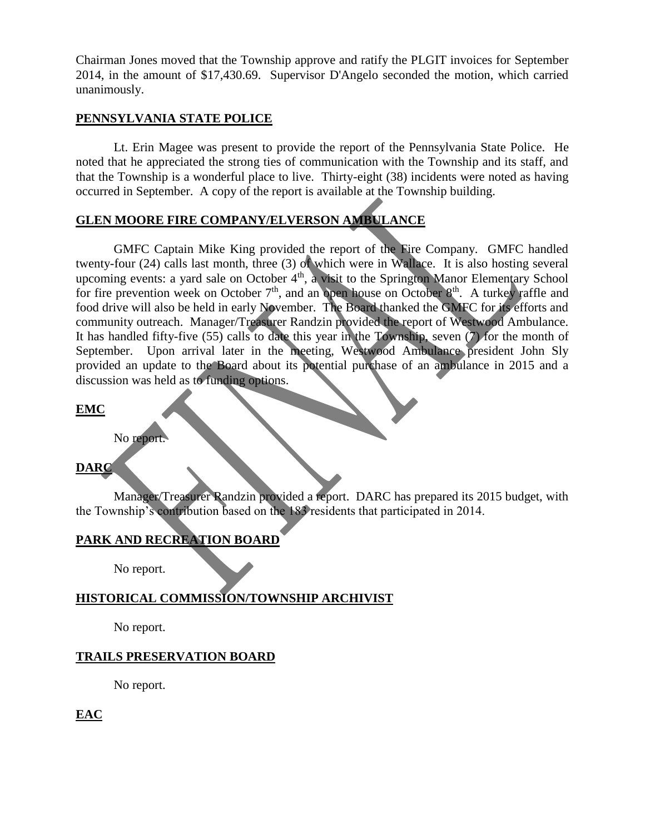Chairman Jones moved that the Township approve and ratify the PLGIT invoices for September 2014, in the amount of \$17,430.69. Supervisor D'Angelo seconded the motion, which carried unanimously.

### **PENNSYLVANIA STATE POLICE**

Lt. Erin Magee was present to provide the report of the Pennsylvania State Police. He noted that he appreciated the strong ties of communication with the Township and its staff, and that the Township is a wonderful place to live. Thirty-eight (38) incidents were noted as having occurred in September. A copy of the report is available at the Township building.

# **GLEN MOORE FIRE COMPANY/ELVERSON AMBULANCE**

GMFC Captain Mike King provided the report of the Fire Company. GMFC handled twenty-four (24) calls last month, three (3) of which were in Wallace. It is also hosting several upcoming events: a yard sale on October  $4<sup>th</sup>$ , a visit to the Springton Manor Elementary School for fire prevention week on October  $7<sup>th</sup>$ , and an open house on October  $8<sup>th</sup>$ . A turkey raffle and food drive will also be held in early November. The Board thanked the GMFC for its efforts and community outreach. Manager/Treasurer Randzin provided the report of Westwood Ambulance. It has handled fifty-five (55) calls to date this year in the Township, seven (7) for the month of September. Upon arrival later in the meeting, Westwood Ambulance president John Sly provided an update to the Board about its potential purchase of an ambulance in 2015 and a discussion was held as to funding options.

#### **EMC**

No report.

# **DARC**

Manager/Treasurer Randzin provided a report. DARC has prepared its 2015 budget, with the Township's contribution based on the 183 residents that participated in 2014.

# **PARK AND RECREATION BOARD**

No report.

## **HISTORICAL COMMISSION/TOWNSHIP ARCHIVIST**

No report.

## **TRAILS PRESERVATION BOARD**

No report.

**EAC**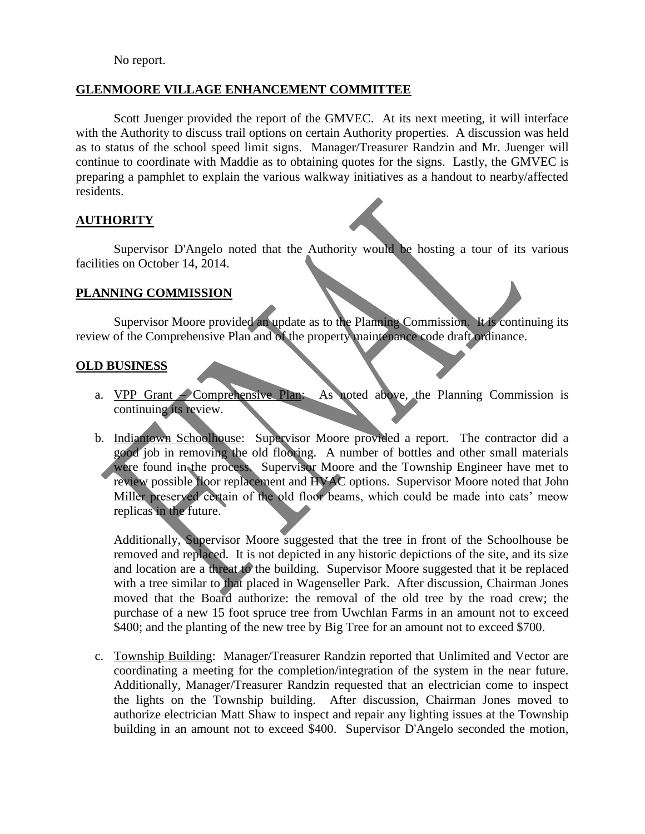No report.

### **GLENMOORE VILLAGE ENHANCEMENT COMMITTEE**

Scott Juenger provided the report of the GMVEC. At its next meeting, it will interface with the Authority to discuss trail options on certain Authority properties. A discussion was held as to status of the school speed limit signs. Manager/Treasurer Randzin and Mr. Juenger will continue to coordinate with Maddie as to obtaining quotes for the signs. Lastly, the GMVEC is preparing a pamphlet to explain the various walkway initiatives as a handout to nearby/affected residents.

## **AUTHORITY**

Supervisor D'Angelo noted that the Authority would be hosting a tour of its various facilities on October 14, 2014.

### **PLANNING COMMISSION**

Supervisor Moore provided an update as to the Planning Commission. It is continuing its review of the Comprehensive Plan and of the property maintenance code draft ordinance.

### **OLD BUSINESS**

- a. VPP Grant Comprehensive Plan: As noted above, the Planning Commission is continuing its review.
- b. Indiantown Schoolhouse: Supervisor Moore provided a report. The contractor did a good job in removing the old flooring. A number of bottles and other small materials were found in the process. Supervisor Moore and the Township Engineer have met to review possible floor replacement and HVAC options. Supervisor Moore noted that John Miller preserved certain of the old floor beams, which could be made into cats' meow replicas in the future.

Additionally, Supervisor Moore suggested that the tree in front of the Schoolhouse be removed and replaced. It is not depicted in any historic depictions of the site, and its size and location are a threat to the building. Supervisor Moore suggested that it be replaced with a tree similar to that placed in Wagenseller Park. After discussion, Chairman Jones moved that the Board authorize: the removal of the old tree by the road crew; the purchase of a new 15 foot spruce tree from Uwchlan Farms in an amount not to exceed \$400; and the planting of the new tree by Big Tree for an amount not to exceed \$700.

c. Township Building: Manager/Treasurer Randzin reported that Unlimited and Vector are coordinating a meeting for the completion/integration of the system in the near future. Additionally, Manager/Treasurer Randzin requested that an electrician come to inspect the lights on the Township building. After discussion, Chairman Jones moved to authorize electrician Matt Shaw to inspect and repair any lighting issues at the Township building in an amount not to exceed \$400. Supervisor D'Angelo seconded the motion,